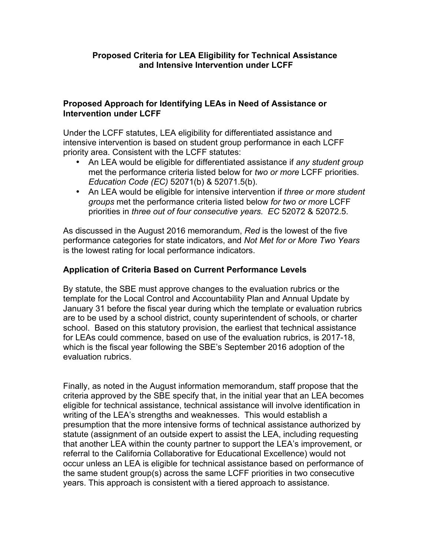#### **Proposed Criteria for LEA Eligibility for Technical Assistance and Intensive Intervention under LCFF**

#### **Proposed Approach for Identifying LEAs in Need of Assistance or Intervention under LCFF**

Under the LCFF statutes, LEA eligibility for differentiated assistance and intensive intervention is based on student group performance in each LCFF priority area. Consistent with the LCFF statutes:

- An LEA would be eligible for differentiated assistance if *any student group* met the performance criteria listed below for *two or more* LCFF priorities. *Education Code (EC)* 52071(b) & 52071.5(b).
- An LEA would be eligible for intensive intervention if *three or more student groups* met the performance criteria listed below *for two or more* LCFF priorities in *three out of four consecutive years. EC* 52072 & 52072.5.

As discussed in the August 2016 memorandum, *Red* is the lowest of the five performance categories for state indicators, and *Not Met for or More Two Years* is the lowest rating for local performance indicators.

#### **Application of Criteria Based on Current Performance Levels**

By statute, the SBE must approve changes to the evaluation rubrics or the template for the Local Control and Accountability Plan and Annual Update by January 31 before the fiscal year during which the template or evaluation rubrics are to be used by a school district, county superintendent of schools, or charter school. Based on this statutory provision, the earliest that technical assistance for LEAs could commence, based on use of the evaluation rubrics, is 2017-18, which is the fiscal year following the SBE's September 2016 adoption of the evaluation rubrics.

Finally, as noted in the August information memorandum, staff propose that the criteria approved by the SBE specify that, in the initial year that an LEA becomes eligible for technical assistance, technical assistance will involve identification in writing of the LEA's strengths and weaknesses. This would establish a presumption that the more intensive forms of technical assistance authorized by statute (assignment of an outside expert to assist the LEA, including requesting that another LEA within the county partner to support the LEA's improvement, or referral to the California Collaborative for Educational Excellence) would not occur unless an LEA is eligible for technical assistance based on performance of the same student group(s) across the same LCFF priorities in two consecutive years. This approach is consistent with a tiered approach to assistance.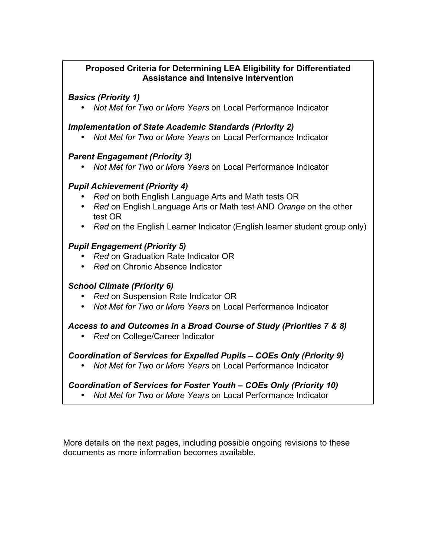#### **Proposed Criteria for Determining LEA Eligibility for Differentiated Assistance and Intensive Intervention**

*Basics (Priority 1)*

• *Not Met for Two or More Years* on Local Performance Indicator

#### *Implementation of State Academic Standards (Priority 2)*

• *Not Met for Two or More Years* on Local Performance Indicator

#### *Parent Engagement (Priority 3)*

• *Not Met for Two or More Years* on Local Performance Indicator

# *Pupil Achievement (Priority 4)*

- *Red* on both English Language Arts and Math tests OR
- *Red* on English Language Arts or Math test AND *Orange* on the other test OR
- *Red* on the English Learner Indicator (English learner student group only)

# *Pupil Engagement (Priority 5)*

- *Red* on Graduation Rate Indicator OR
- *Red* on Chronic Absence Indicator

# *School Climate (Priority 6)*

- *Red* on Suspension Rate Indicator OR
- *Not Met for Two or More Years* on Local Performance Indicator

# *Access to and Outcomes in a Broad Course of Study (Priorities 7 & 8)*

• *Red* on College/Career Indicator

# *Coordination of Services for Expelled Pupils – COEs Only (Priority 9)*

• *Not Met for Two or More Years* on Local Performance Indicator

# *Coordination of Services for Foster Youth – COEs Only (Priority 10)*

• *Not Met for Two or More Years* on Local Performance Indicator

More details on the next pages, including possible ongoing revisions to these documents as more information becomes available.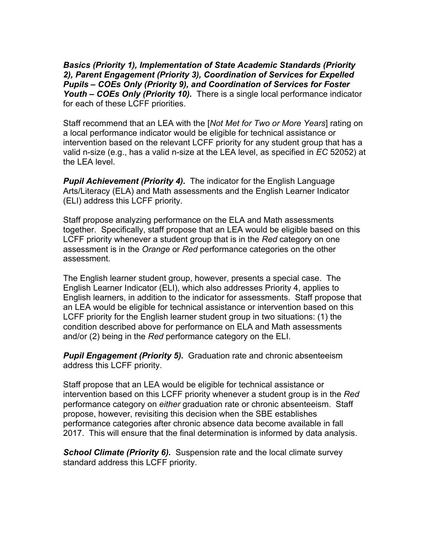*Basics (Priority 1), Implementation of State Academic Standards (Priority 2), Parent Engagement (Priority 3), Coordination of Services for Expelled Pupils – COEs Only (Priority 9), and Coordination of Services for Foster Youth – COEs Only (Priority 10).* There is a single local performance indicator for each of these LCFF priorities.

Staff recommend that an LEA with the [*Not Met for Two or More Years*] rating on a local performance indicator would be eligible for technical assistance or intervention based on the relevant LCFF priority for any student group that has a valid n-size (e.g., has a valid n-size at the LEA level, as specified in *EC* 52052) at the LEA level.

**Pupil Achievement (Priority 4).** The indicator for the English Language Arts/Literacy (ELA) and Math assessments and the English Learner Indicator (ELI) address this LCFF priority.

Staff propose analyzing performance on the ELA and Math assessments together. Specifically, staff propose that an LEA would be eligible based on this LCFF priority whenever a student group that is in the *Red* category on one assessment is in the *Orange* or *Red* performance categories on the other assessment.

The English learner student group, however, presents a special case. The English Learner Indicator (ELI), which also addresses Priority 4, applies to English learners, in addition to the indicator for assessments. Staff propose that an LEA would be eligible for technical assistance or intervention based on this LCFF priority for the English learner student group in two situations: (1) the condition described above for performance on ELA and Math assessments and/or (2) being in the *Red* performance category on the ELI.

*Pupil Engagement (Priority 5).* Graduation rate and chronic absenteeism address this LCFF priority.

Staff propose that an LEA would be eligible for technical assistance or intervention based on this LCFF priority whenever a student group is in the *Red* performance category on *either* graduation rate or chronic absenteeism. Staff propose, however, revisiting this decision when the SBE establishes performance categories after chronic absence data become available in fall 2017. This will ensure that the final determination is informed by data analysis.

**School Climate (Priority 6).** Suspension rate and the local climate survey standard address this LCFF priority.